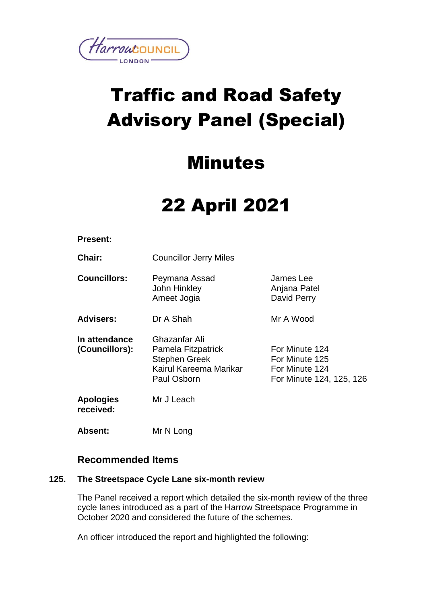

# Traffic and Road Safety Advisory Panel (Special)

### Minutes

## 22 April 2021

#### **Present:**

**Chair:** Councillor Jerry Miles

**Councillors:** Peymana Assad John Hinkley Ameet Jogia James Lee Anjana Patel David Perry

**Advisers:** Dr A Shah Mr A Wood

**In attendance (Councillors):** Ghazanfar Ali Pamela Fitzpatrick Stephen Greek Kairul Kareema Marikar Paul Osborn For Minute 124 For Minute 125 For Minute 124 For Minute 124, 125, 126

**Apologies received:** Mr J Leach

**Absent:** Mr N Long

### **Recommended Items**

#### **125. The Streetspace Cycle Lane six-month review**

The Panel received a report which detailed the six-month review of the three cycle lanes introduced as a part of the Harrow Streetspace Programme in October 2020 and considered the future of the schemes.

An officer introduced the report and highlighted the following: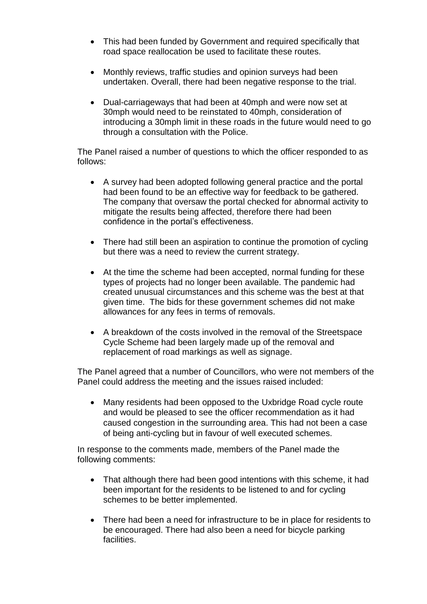- This had been funded by Government and required specifically that road space reallocation be used to facilitate these routes.
- Monthly reviews, traffic studies and opinion surveys had been undertaken. Overall, there had been negative response to the trial.
- Dual-carriageways that had been at 40mph and were now set at 30mph would need to be reinstated to 40mph, consideration of introducing a 30mph limit in these roads in the future would need to go through a consultation with the Police.

The Panel raised a number of questions to which the officer responded to as follows:

- A survey had been adopted following general practice and the portal had been found to be an effective way for feedback to be gathered. The company that oversaw the portal checked for abnormal activity to mitigate the results being affected, therefore there had been confidence in the portal's effectiveness.
- There had still been an aspiration to continue the promotion of cycling but there was a need to review the current strategy.
- At the time the scheme had been accepted, normal funding for these types of projects had no longer been available. The pandemic had created unusual circumstances and this scheme was the best at that given time. The bids for these government schemes did not make allowances for any fees in terms of removals.
- A breakdown of the costs involved in the removal of the Streetspace Cycle Scheme had been largely made up of the removal and replacement of road markings as well as signage.

The Panel agreed that a number of Councillors, who were not members of the Panel could address the meeting and the issues raised included:

 Many residents had been opposed to the Uxbridge Road cycle route and would be pleased to see the officer recommendation as it had caused congestion in the surrounding area. This had not been a case of being anti-cycling but in favour of well executed schemes.

In response to the comments made, members of the Panel made the following comments:

- That although there had been good intentions with this scheme, it had been important for the residents to be listened to and for cycling schemes to be better implemented.
- There had been a need for infrastructure to be in place for residents to be encouraged. There had also been a need for bicycle parking facilities.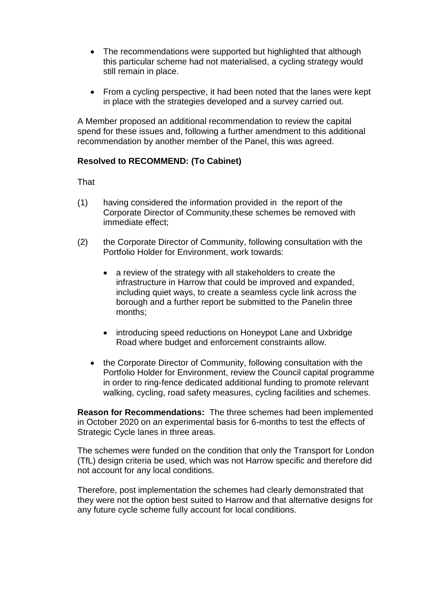- The recommendations were supported but highlighted that although this particular scheme had not materialised, a cycling strategy would still remain in place.
- From a cycling perspective, it had been noted that the lanes were kept in place with the strategies developed and a survey carried out.

A Member proposed an additional recommendation to review the capital spend for these issues and, following a further amendment to this additional recommendation by another member of the Panel, this was agreed.

#### **Resolved to RECOMMEND: (To Cabinet)**

That

- (1) having considered the information provided in the report of the Corporate Director of Community,these schemes be removed with immediate effect;
- (2) the Corporate Director of Community, following consultation with the Portfolio Holder for Environment, work towards:
	- a review of the strategy with all stakeholders to create the infrastructure in Harrow that could be improved and expanded, including quiet ways, to create a seamless cycle link across the borough and a further report be submitted to the Panelin three months;
	- introducing speed reductions on Honeypot Lane and Uxbridge Road where budget and enforcement constraints allow.
	- the Corporate Director of Community, following consultation with the Portfolio Holder for Environment, review the Council capital programme in order to ring-fence dedicated additional funding to promote relevant walking, cycling, road safety measures, cycling facilities and schemes.

**Reason for Recommendations:** The three schemes had been implemented in October 2020 on an experimental basis for 6-months to test the effects of Strategic Cycle lanes in three areas.

The schemes were funded on the condition that only the Transport for London (TfL) design criteria be used, which was not Harrow specific and therefore did not account for any local conditions.

Therefore, post implementation the schemes had clearly demonstrated that they were not the option best suited to Harrow and that alternative designs for any future cycle scheme fully account for local conditions.